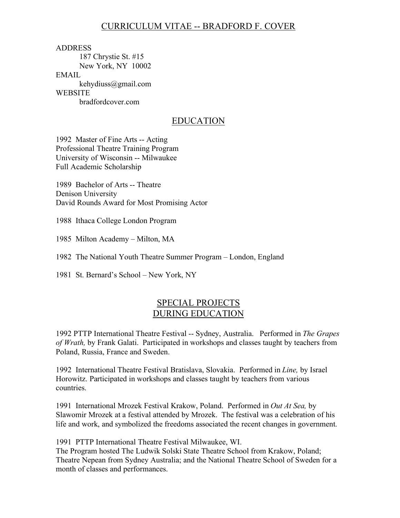# CURRICULUM VITAE -- BRADFORD F. COVER

ADDRESS 187 Chrystie St. #15 New York, NY 10002 EMAIL kehydiuss@gmail.com **WEBSITE** bradfordcover.com

## EDUCATION

1992 Master of Fine Arts -- Acting Professional Theatre Training Program University of Wisconsin -- Milwaukee Full Academic Scholarship

1989 Bachelor of Arts -- Theatre Denison University David Rounds Award for Most Promising Actor

1988 Ithaca College London Program

1985 Milton Academy – Milton, MA

1982 The National Youth Theatre Summer Program – London, England

1981 St. Bernard's School – New York, NY

## SPECIAL PROJECTS DURING EDUCATION

1992 PTTP International Theatre Festival -- Sydney, Australia. Performed in *The Grapes of Wrath,* by Frank Galati. Participated in workshops and classes taught by teachers from Poland, Russia, France and Sweden.

1992 International Theatre Festival Bratislava, Slovakia. Performed in *Line,* by Israel Horowitz. Participated in workshops and classes taught by teachers from various countries.

1991 International Mrozek Festival Krakow, Poland. Performed in *Out At Sea,* by Slawomir Mrozek at a festival attended by Mrozek. The festival was a celebration of his life and work, and symbolized the freedoms associated the recent changes in government.

1991 PTTP International Theatre Festival Milwaukee, WI.

The Program hosted The Ludwik Solski State Theatre School from Krakow, Poland; Theatre Nepean from Sydney Australia; and the National Theatre School of Sweden for a month of classes and performances.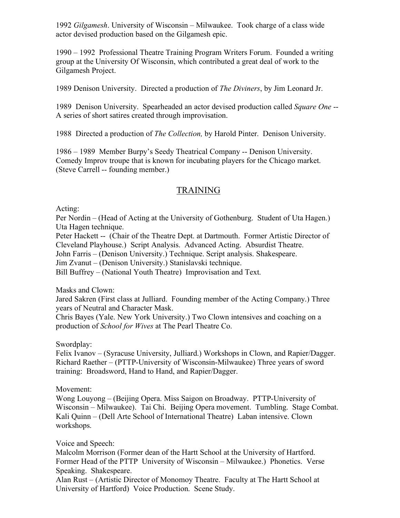1992 *Gilgamesh*. University of Wisconsin – Milwaukee. Took charge of a class wide actor devised production based on the Gilgamesh epic.

1990 – 1992 Professional Theatre Training Program Writers Forum. Founded a writing group at the University Of Wisconsin, which contributed a great deal of work to the Gilgamesh Project.

1989 Denison University. Directed a production of *The Diviners*, by Jim Leonard Jr.

1989 Denison University. Spearheaded an actor devised production called *Square One* -- A series of short satires created through improvisation.

1988 Directed a production of *The Collection,* by Harold Pinter. Denison University.

1986 – 1989 Member Burpy's Seedy Theatrical Company -- Denison University. Comedy Improv troupe that is known for incubating players for the Chicago market. (Steve Carrell -- founding member.)

# TRAINING

Acting:

Per Nordin – (Head of Acting at the University of Gothenburg. Student of Uta Hagen.) Uta Hagen technique.

Peter Hackett -- (Chair of the Theatre Dept. at Dartmouth. Former Artistic Director of Cleveland Playhouse.) Script Analysis. Advanced Acting. Absurdist Theatre.

John Farris – (Denison University.) Technique. Script analysis. Shakespeare.

Jim Zvanut – (Denison University.) Stanislavski technique.

Bill Buffrey – (National Youth Theatre) Improvisation and Text.

Masks and Clown:

Jared Sakren (First class at Julliard. Founding member of the Acting Company.) Three years of Neutral and Character Mask.

Chris Bayes (Yale. New York University.) Two Clown intensives and coaching on a production of *School for Wives* at The Pearl Theatre Co.

Swordplay:

Felix Ivanov – (Syracuse University, Julliard.) Workshops in Clown, and Rapier/Dagger. Richard Raether – (PTTP-University of Wisconsin-Milwaukee) Three years of sword training: Broadsword, Hand to Hand, and Rapier/Dagger.

Movement:

Wong Louyong – (Beijing Opera. Miss Saigon on Broadway. PTTP-University of Wisconsin – Milwaukee). Tai Chi. Beijing Opera movement. Tumbling. Stage Combat. Kali Quinn – (Dell Arte School of International Theatre) Laban intensive. Clown workshops.

#### Voice and Speech:

Malcolm Morrison (Former dean of the Hartt School at the University of Hartford. Former Head of the PTTP University of Wisconsin – Milwaukee.) Phonetics. Verse Speaking. Shakespeare.

Alan Rust – (Artistic Director of Monomoy Theatre. Faculty at The Hartt School at University of Hartford) Voice Production. Scene Study.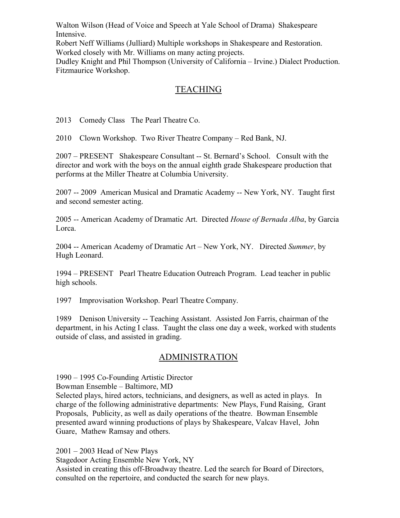Walton Wilson (Head of Voice and Speech at Yale School of Drama) Shakespeare Intensive.

Robert Neff Williams (Julliard) Multiple workshops in Shakespeare and Restoration. Worked closely with Mr. Williams on many acting projects.

Dudley Knight and Phil Thompson (University of California – Irvine.) Dialect Production. Fitzmaurice Workshop.

# **TEACHING**

2013 Comedy Class The Pearl Theatre Co.

2010 Clown Workshop. Two River Theatre Company – Red Bank, NJ.

2007 – PRESENT Shakespeare Consultant -- St. Bernard's School. Consult with the director and work with the boys on the annual eighth grade Shakespeare production that performs at the Miller Theatre at Columbia University.

2007 -- 2009 American Musical and Dramatic Academy -- New York, NY. Taught first and second semester acting.

2005 -- American Academy of Dramatic Art. Directed *House of Bernada Alba*, by Garcia Lorca.

2004 -- American Academy of Dramatic Art – New York, NY. Directed *Summer*, by Hugh Leonard.

1994 – PRESENT Pearl Theatre Education Outreach Program. Lead teacher in public high schools.

1997 Improvisation Workshop. Pearl Theatre Company.

1989 Denison University -- Teaching Assistant. Assisted Jon Farris, chairman of the department, in his Acting I class. Taught the class one day a week, worked with students outside of class, and assisted in grading.

# ADMINISTRATION

1990 – 1995 Co-Founding Artistic Director

Bowman Ensemble – Baltimore, MD

Selected plays, hired actors, technicians, and designers, as well as acted in plays. In charge of the following administrative departments: New Plays, Fund Raising, Grant Proposals, Publicity, as well as daily operations of the theatre. Bowman Ensemble presented award winning productions of plays by Shakespeare, Valcav Havel, John Guare, Mathew Ramsay and others.

2001 – 2003 Head of New Plays Stagedoor Acting Ensemble New York, NY Assisted in creating this off-Broadway theatre. Led the search for Board of Directors, consulted on the repertoire, and conducted the search for new plays.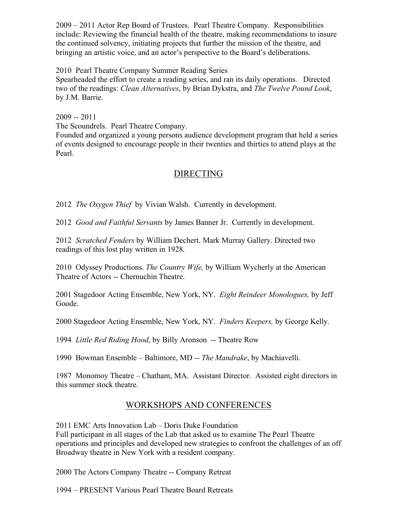2009 – 2011 Actor Rep Board of Trustees. Pearl Theatre Company. Responsibilities include: Reviewing the financial health of the theatre, making recommendations to insure the continued solvency, initiating projects that further the mission of the theatre, and bringing an artistic voice, and an actor's perspective to the Board's deliberations.

2010 Pearl Theatre Company Summer Reading Series

Spearheaded the effort to create a reading series, and ran its daily operations. Directed two of the readings: *Clean Alternatives*, by Brian Dykstra, and *The Twelve Pound Look*, by J.M. Barrie.

2009 -- 2011

The Scoundrels. Pearl Theatre Company.

Founded and organized a young persons audience development program that held a series of events designed to encourage people in their twenties and thirties to attend plays at the Pearl.

## DIRECTING

2012 *The Oxygen Thief* by Vivian Walsh. Currently in development.

2012 *Good and Faithful Servants* by James Banner Jr. Currently in development.

2012 *Scratched Fenders* by William Dechert. Mark Murray Gallery. Directed two readings of this lost play written in 1928.

2010 Odyssey Productions. *The Country Wife,* by William Wycherly at the American Theatre of Actors -- Chernuchin Theatre.

2001 Stagedoor Acting Ensemble, New York, NY. *Eight Reindeer Monologues,* by Jeff Goode.

2000 Stagedoor Acting Ensemble, New York, NY. *Finders Keepers,* by George Kelly.

1994 *Little Red Riding Hood*, by Billy Aronson -- Theatre Row

1990 Bowman Ensemble – Baltimore, MD -- *The Mandrake*, by Machiavelli.

1987 Monomoy Theatre – Chatham, MA. Assistant Director. Assisted eight directors in this summer stock theatre.

# WORKSHOPS AND CONFERENCES

2011 EMC Arts Innovation Lab – Doris Duke Foundation Full participant in all stages of the Lab that asked us to examine The Pearl Theatre operations and principles and developed new strategies to confront the challenges of an off Broadway theatre in New York with a resident company.

2000 The Actors Company Theatre -- Company Retreat

1994 – PRESENT Various Pearl Theatre Board Retreats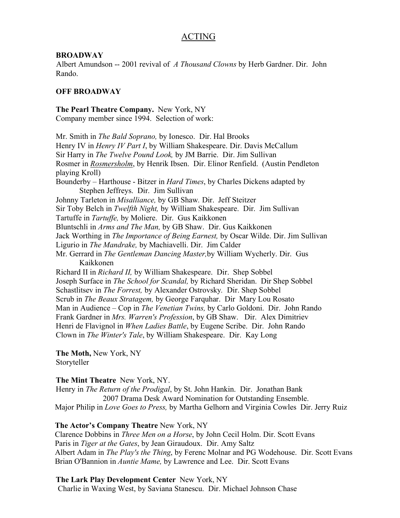# ACTING

#### **BROADWAY**

Albert Amundson -- 2001 revival of *A Thousand Clowns* by Herb Gardner. Dir. John Rando.

#### **OFF BROADWAY**

**The Pearl Theatre Company.** New York, NY Company member since 1994. Selection of work:

Mr. Smith in *The Bald Soprano,* by Ionesco.Dir. Hal Brooks Henry IV in *Henry IV Part I*, by William Shakespeare. Dir. Davis McCallum Sir Harry in *The Twelve Pound Look,* by JM Barrie.Dir. Jim Sullivan Rosmer in *Rosmersholm*, by Henrik Ibsen. Dir. Elinor Renfield. (Austin Pendleton playing Kroll) Bounderby – Harthouse - Bitzer in *Hard Times*, by Charles Dickens adapted by Stephen Jeffreys. Dir. Jim Sullivan Johnny Tarleton in *Misalliance,* by GB Shaw*.* Dir. Jeff Steitzer Sir Toby Belch in *Twelfth Night,* by William Shakespeare. Dir. Jim Sullivan Tartuffe in *Tartuffe,* by Moliere. Dir. Gus Kaikkonen Bluntschli in *Arms and The Man,* by GB Shaw. Dir. Gus Kaikkonen Jack Worthing in *The Importance of Being Earnest,* by Oscar Wilde. Dir. Jim Sullivan Ligurio in *The Mandrake,* by Machiavelli. Dir. Jim Calder Mr. Gerrard in *The Gentleman Dancing Master,*by William Wycherly. Dir. Gus Kaikkonen Richard II in *Richard II,* by William Shakespeare. Dir. Shep Sobbel Joseph Surface in *The School for Scandal,* by Richard Sheridan. Dir Shep Sobbel Schastlitsev in *The Forrest,* by Alexander Ostrovsky*.* Dir. Shep Sobbel Scrub in *The Beaux Stratagem,* by George Farquhar. Dir Mary Lou Rosato Man in Audience – Cop in *The Venetian Twins,* by Carlo Goldoni. Dir. John Rando Frank Gardner in *Mrs. Warren's Profession*, by GB Shaw. Dir. Alex Dimitriev Henri de Flavignol in *When Ladies Battle*, by Eugene Scribe. Dir. John Rando Clown in *The Winter's Tale*, by William Shakespeare. Dir. Kay Long

#### **The Moth,** New York, NY Storyteller

#### **The Mint Theatre** New York, NY.

Henry in *The Return of the Prodigal*, by St. John Hankin. Dir. Jonathan Bank 2007 Drama Desk Award Nomination for Outstanding Ensemble. Major Philip in *Love Goes to Press,* by Martha Gelhorn and Virginia CowlesDir. Jerry Ruiz

#### **The Actor's Company Theatre** New York, NY

 Clarence Dobbins in *Three Men on a Horse*, by John Cecil Holm. Dir. Scott Evans Paris in *Tiger at the Gates*, by Jean Giraudoux. Dir. Amy Saltz Albert Adam in *The Play's the Thing*, by Ferenc Molnar and PG Wodehouse. Dir. Scott Evans Brian O'Bannion in *Auntie Mame,* by Lawrence and Lee. Dir. Scott Evans

#### **The Lark Play Development Center** New York, NY

Charlie in Waxing West, by Saviana Stanescu. Dir. Michael Johnson Chase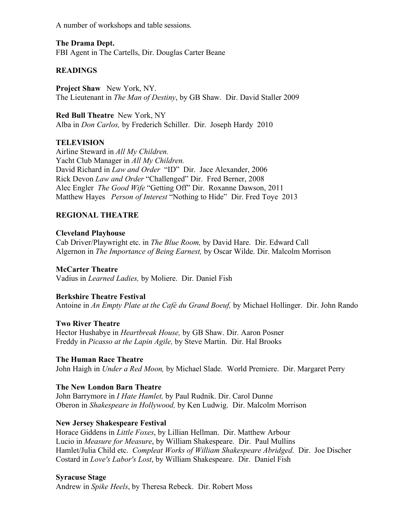A number of workshops and table sessions.

**The Drama Dept.** FBI Agent in The Cartells, Dir. Douglas Carter Beane

## **READINGS**

**Project Shaw** New York, NY. The Lieutenant in *The Man of Destiny*, by GB Shaw. Dir. David Staller 2009

**Red Bull Theatre** New York, NY Alba in *Don Carlos,* by Frederich Schiller. Dir. Joseph Hardy 2010

### **TELEVISION**

Airline Steward in *All My Children.* Yacht Club Manager in *All My Children.* David Richard in *Law and Order* "ID" Dir. Jace Alexander, 2006 Rick Devon *Law and Order* "Challenged" Dir. Fred Berner, 2008 Alec Engler *The Good Wife* "Getting Off" Dir. Roxanne Dawson, 2011 Matthew Hayes *Person of Interest* "Nothing to Hide" Dir. Fred Toye 2013

## **REGIONAL THEATRE**

### **Cleveland Playhouse**

Cab Driver/Playwright etc. in *The Blue Room,* by David Hare. Dir. Edward Call Algernon in *The Importance of Being Earnest,* by Oscar Wilde. Dir. Malcolm Morrison

### **McCarter Theatre**

Vadius in *Learned Ladies,* by Moliere. Dir. Daniel Fish

### **Berkshire Theatre Festival**

Antoine in *An Empty Plate at the Café du Grand Boeuf,* by Michael Hollinger. Dir. John Rando

### **Two River Theatre**

Hector Hushabye in *Heartbreak House,* by GB Shaw. Dir. Aaron Posner Freddy in *Picasso at the Lapin Agile,* by Steve Martin. Dir. Hal Brooks

### **The Human Race Theatre**

John Haigh in *Under a Red Moon,* by Michael Slade. World Premiere. Dir. Margaret Perry

### **The New London Barn Theatre**

John Barrymore in *I Hate Hamlet,* by Paul Rudnik. Dir. Carol Dunne Oberon in *Shakespeare in Hollywood,* by Ken Ludwig. Dir. Malcolm Morrison

## **New Jersey Shakespeare Festival**

Horace Giddens in *Little Foxes*, by Lillian Hellman. Dir. Matthew Arbour Lucio in *Measure for Measure*, by William Shakespeare. Dir. Paul Mullins Hamlet/Julia Child etc. *Compleat Works of William Shakespeare Abridged*. Dir. Joe Discher Costard in *Love's Labor's Lost*, by William Shakespeare. Dir. Daniel Fish

### **Syracuse Stage**

Andrew in *Spike Heels*, by Theresa Rebeck. Dir. Robert Moss